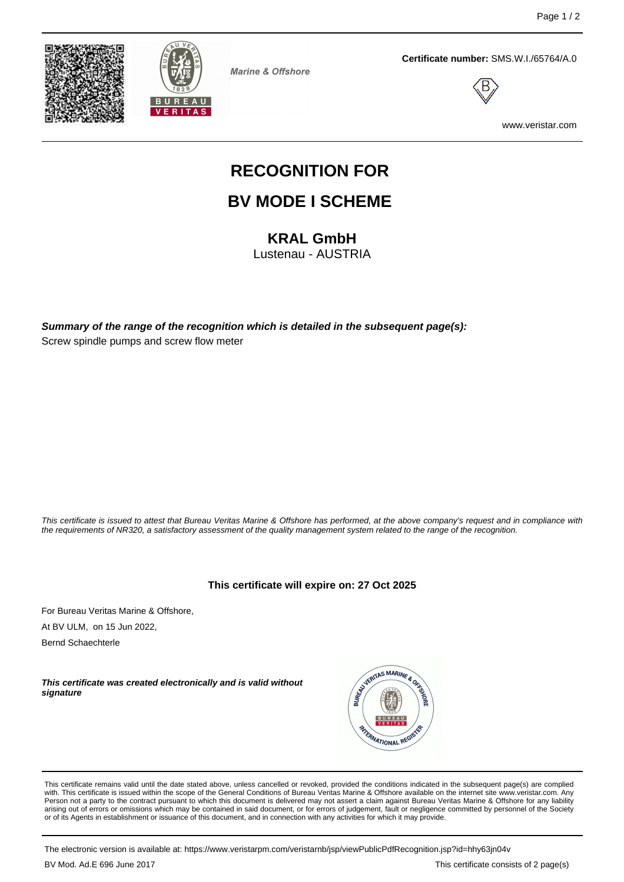



**Marine & Offshore** 

**Certificate number:** SMS.W.I./65764/A.0



www.veristar.com

# **RECOGNITION FOR**

## **BV MODE I SCHEME**

**KRAL GmbH**

Lustenau - AUSTRIA

**Summary of the range of the recognition which is detailed in the subsequent page(s):** Screw spindle pumps and screw flow meter

This certificate is issued to attest that Bureau Veritas Marine & Offshore has performed, at the above company's request and in compliance with the requirements of NR320, a satisfactory assessment of the quality management system related to the range of the recognition.

**This certificate will expire on: 27 Oct 2025**

For Bureau Veritas Marine & Offshore, At BV ULM, on 15 Jun 2022,

Bernd Schaechterle

**This certificate was created electronically and is valid without signature**



This certificate remains valid until the date stated above, unless cancelled or revoked, provided the conditions indicated in the subsequent page(s) are complied with. This certificate is issued within the scope of the General Conditions of Bureau Veritas Marine & Offshore available on the internet site www.veristar.com. Any<br>Person not a party to the contract pursuant to which this arising out of errors or omissions which may be contained in said document, or for errors of judgement, fault or negligence committed by personnel of the Society<br>or of its Agents in establishment or issuance of this docume

The electronic version is available at: https://www.veristarpm.com/veristarnb/jsp/viewPublicPdfRecognition.jsp?id=hhy63jn04v